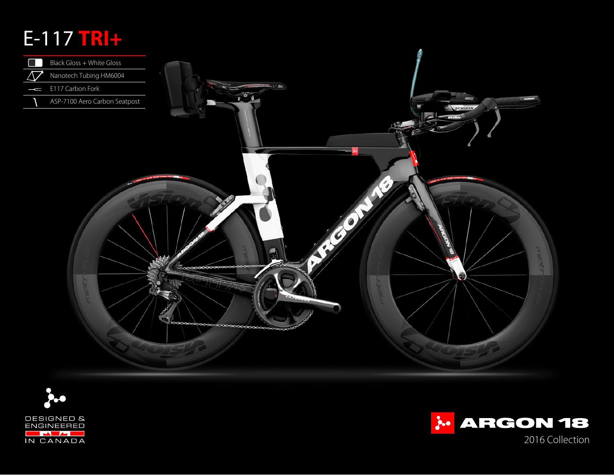# E-117 **TRI+**